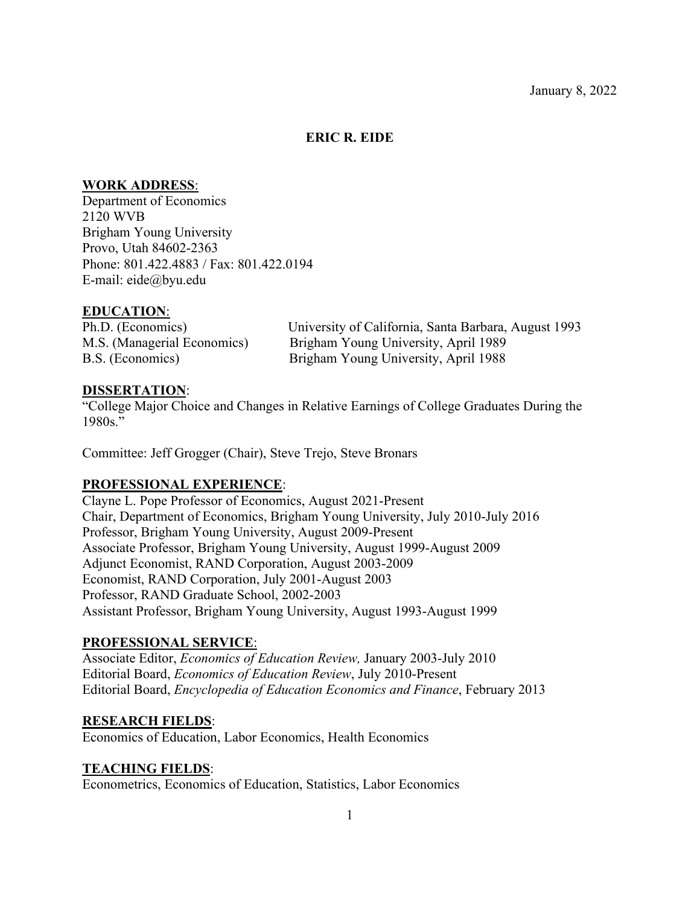# **ERIC R. EIDE**

## **WORK ADDRESS**:

Department of Economics 2120 WVB Brigham Young University Provo, Utah 84602-2363 Phone: 801.422.4883 / Fax: 801.422.0194 E-mail: eide@byu.edu

## **EDUCATION**:

Ph.D. (Economics) University of California, Santa Barbara, August 1993 M.S. (Managerial Economics) Brigham Young University, April 1989 B.S. (Economics) Brigham Young University, April 1988

## **DISSERTATION**:

"College Major Choice and Changes in Relative Earnings of College Graduates During the 1980s."

Committee: Jeff Grogger (Chair), Steve Trejo, Steve Bronars

# **PROFESSIONAL EXPERIENCE**:

Clayne L. Pope Professor of Economics, August 2021-Present Chair, Department of Economics, Brigham Young University, July 2010-July 2016 Professor, Brigham Young University, August 2009-Present Associate Professor, Brigham Young University, August 1999-August 2009 Adjunct Economist, RAND Corporation, August 2003-2009 Economist, RAND Corporation, July 2001-August 2003 Professor, RAND Graduate School, 2002-2003 Assistant Professor, Brigham Young University, August 1993-August 1999

# **PROFESSIONAL SERVICE**:

Associate Editor, *Economics of Education Review,* January 2003-July 2010 Editorial Board, *Economics of Education Review*, July 2010-Present Editorial Board, *Encyclopedia of Education Economics and Finance*, February 2013

## **RESEARCH FIELDS**:

Economics of Education, Labor Economics, Health Economics

## **TEACHING FIELDS**:

Econometrics, Economics of Education, Statistics, Labor Economics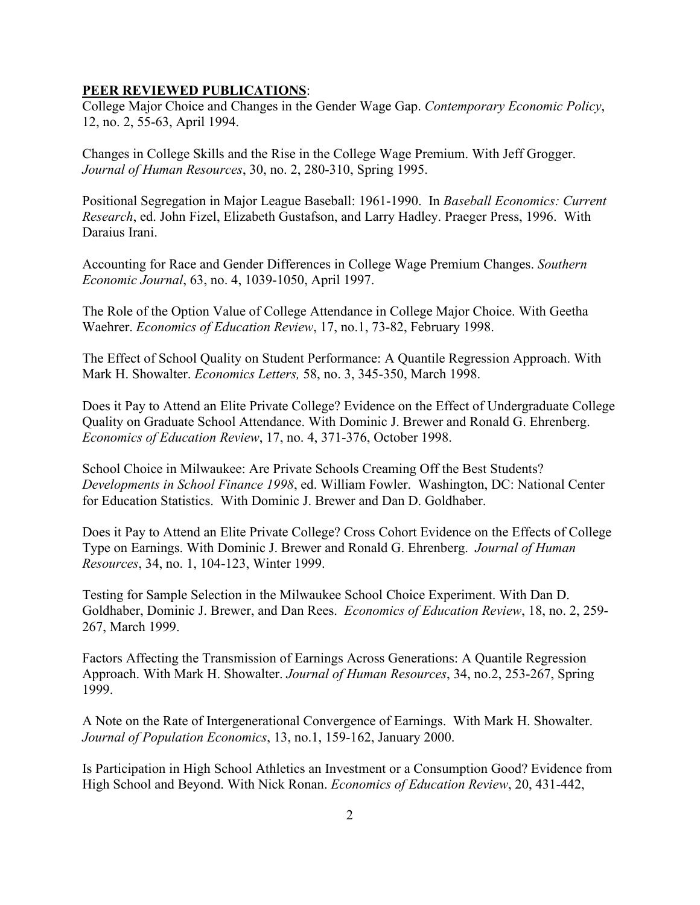## **PEER REVIEWED PUBLICATIONS**:

College Major Choice and Changes in the Gender Wage Gap. *Contemporary Economic Policy*, 12, no. 2, 55-63, April 1994.

Changes in College Skills and the Rise in the College Wage Premium. With Jeff Grogger. *Journal of Human Resources*, 30, no. 2, 280-310, Spring 1995.

Positional Segregation in Major League Baseball: 1961-1990. In *Baseball Economics: Current Research*, ed. John Fizel, Elizabeth Gustafson, and Larry Hadley. Praeger Press, 1996. With Daraius Irani.

Accounting for Race and Gender Differences in College Wage Premium Changes. *Southern Economic Journal*, 63, no. 4, 1039-1050, April 1997.

The Role of the Option Value of College Attendance in College Major Choice. With Geetha Waehrer. *Economics of Education Review*, 17, no.1, 73-82, February 1998.

The Effect of School Quality on Student Performance: A Quantile Regression Approach. With Mark H. Showalter. *Economics Letters,* 58, no. 3, 345-350, March 1998.

Does it Pay to Attend an Elite Private College? Evidence on the Effect of Undergraduate College Quality on Graduate School Attendance. With Dominic J. Brewer and Ronald G. Ehrenberg. *Economics of Education Review*, 17, no. 4, 371-376, October 1998.

School Choice in Milwaukee: Are Private Schools Creaming Off the Best Students? *Developments in School Finance 1998*, ed. William Fowler. Washington, DC: National Center for Education Statistics. With Dominic J. Brewer and Dan D. Goldhaber.

Does it Pay to Attend an Elite Private College? Cross Cohort Evidence on the Effects of College Type on Earnings. With Dominic J. Brewer and Ronald G. Ehrenberg. *Journal of Human Resources*, 34, no. 1, 104-123, Winter 1999.

Testing for Sample Selection in the Milwaukee School Choice Experiment. With Dan D. Goldhaber, Dominic J. Brewer, and Dan Rees. *Economics of Education Review*, 18, no. 2, 259- 267, March 1999.

Factors Affecting the Transmission of Earnings Across Generations: A Quantile Regression Approach. With Mark H. Showalter. *Journal of Human Resources*, 34, no.2, 253-267, Spring 1999.

A Note on the Rate of Intergenerational Convergence of Earnings. With Mark H. Showalter. *Journal of Population Economics*, 13, no.1, 159-162, January 2000.

Is Participation in High School Athletics an Investment or a Consumption Good? Evidence from High School and Beyond. With Nick Ronan. *Economics of Education Review*, 20, 431-442,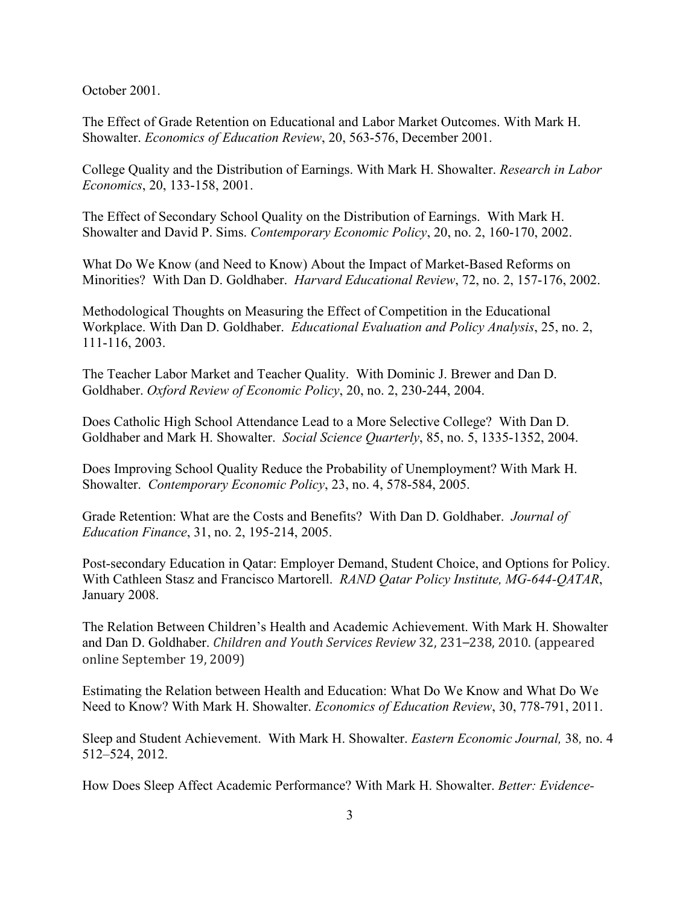October 2001.

The Effect of Grade Retention on Educational and Labor Market Outcomes. With Mark H. Showalter. *Economics of Education Review*, 20, 563-576, December 2001.

College Quality and the Distribution of Earnings. With Mark H. Showalter. *Research in Labor Economics*, 20, 133-158, 2001.

The Effect of Secondary School Quality on the Distribution of Earnings. With Mark H. Showalter and David P. Sims. *Contemporary Economic Policy*, 20, no. 2, 160-170, 2002.

What Do We Know (and Need to Know) About the Impact of Market-Based Reforms on Minorities? With Dan D. Goldhaber. *Harvard Educational Review*, 72, no. 2, 157-176, 2002.

Methodological Thoughts on Measuring the Effect of Competition in the Educational Workplace. With Dan D. Goldhaber. *Educational Evaluation and Policy Analysis*, 25, no. 2, 111-116, 2003.

The Teacher Labor Market and Teacher Quality. With Dominic J. Brewer and Dan D. Goldhaber. *Oxford Review of Economic Policy*, 20, no. 2, 230-244, 2004.

Does Catholic High School Attendance Lead to a More Selective College? With Dan D. Goldhaber and Mark H. Showalter. *Social Science Quarterly*, 85, no. 5, 1335-1352, 2004.

Does Improving School Quality Reduce the Probability of Unemployment? With Mark H. Showalter. *Contemporary Economic Policy*, 23, no. 4, 578-584, 2005.

Grade Retention: What are the Costs and Benefits? With Dan D. Goldhaber. *Journal of Education Finance*, 31, no. 2, 195-214, 2005.

Post-secondary Education in Qatar: Employer Demand, Student Choice, and Options for Policy. With Cathleen Stasz and Francisco Martorell. *RAND Qatar Policy Institute, MG-644-QATAR*, January 2008.

The Relation Between Children's Health and Academic Achievement. With Mark H. Showalter and Dan D. Goldhaber. *Children and Youth Services Review* 32, 231–238, 2010. (appeared online September 19, 2009)

Estimating the Relation between Health and Education: What Do We Know and What Do We Need to Know? With Mark H. Showalter. *Economics of Education Review*, 30, 778-791, 2011.

Sleep and Student Achievement. With Mark H. Showalter. *Eastern Economic Journal,* 38*,* no. 4 512–524, 2012.

How Does Sleep Affect Academic Performance? With Mark H. Showalter. *Better: Evidence-*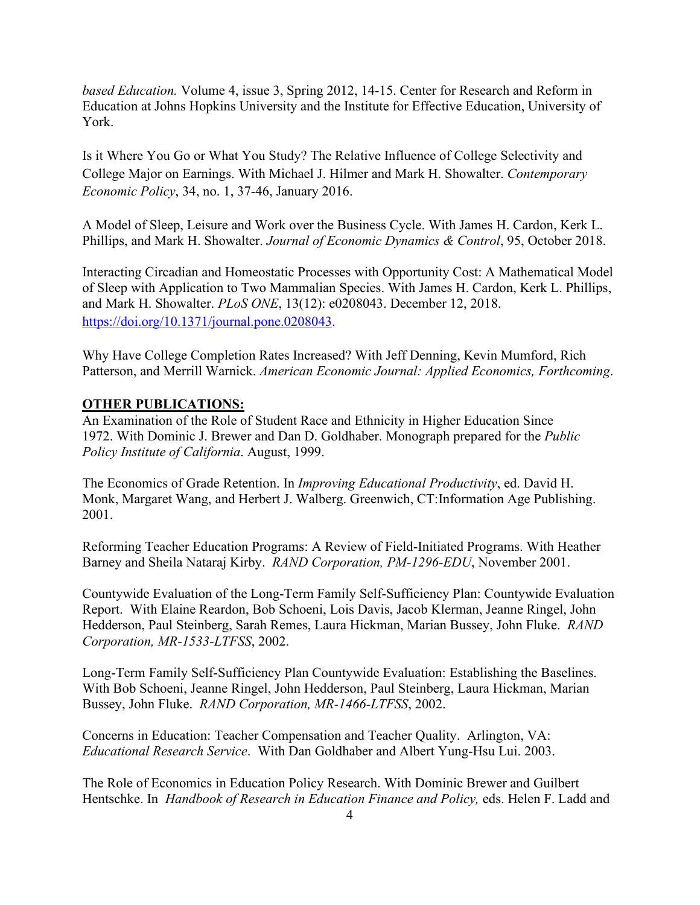*based Education.* Volume 4, issue 3, Spring 2012, 14-15. Center for Research and Reform in Education at Johns Hopkins University and the Institute for Effective Education, University of York.

Is it Where You Go or What You Study? The Relative Influence of College Selectivity and College Major on Earnings. With Michael J. Hilmer and Mark H. Showalter. *Contemporary Economic Policy*, 34, no. 1, 37-46, January 2016.

A Model of Sleep, Leisure and Work over the Business Cycle. With James H. Cardon, Kerk L. Phillips, and Mark H. Showalter. *Journal of Economic Dynamics & Control*, 95, October 2018.

Interacting Circadian and Homeostatic Processes with Opportunity Cost: A Mathematical Model of Sleep with Application to Two Mammalian Species. With James H. Cardon, Kerk L. Phillips, and Mark H. Showalter. *PLoS ONE*, 13(12): e0208043. December 12, 2018. [https://doi.org/10.1371/journal.pone.0208043.](https://doi.org/10.1371/journal.pone.0208043)

Why Have College Completion Rates Increased? With Jeff Denning, Kevin Mumford, Rich Patterson, and Merrill Warnick. *American Economic Journal: Applied Economics, Forthcoming*.

## **OTHER PUBLICATIONS:**

An Examination of the Role of Student Race and Ethnicity in Higher Education Since 1972. With Dominic J. Brewer and Dan D. Goldhaber. Monograph prepared for the *Public Policy Institute of California*. August, 1999.

The Economics of Grade Retention. In *Improving Educational Productivity*, ed. David H. Monk, Margaret Wang, and Herbert J. Walberg. Greenwich, CT:Information Age Publishing. 2001.

Reforming Teacher Education Programs: A Review of Field-Initiated Programs. With Heather Barney and Sheila Nataraj Kirby. *RAND Corporation, PM-1296-EDU*, November 2001.

Countywide Evaluation of the Long-Term Family Self-Sufficiency Plan: Countywide Evaluation Report. With Elaine Reardon, Bob Schoeni, Lois Davis, Jacob Klerman, Jeanne Ringel, John Hedderson, Paul Steinberg, Sarah Remes, Laura Hickman, Marian Bussey, John Fluke. *RAND Corporation, MR-1533-LTFSS*, 2002.

Long-Term Family Self-Sufficiency Plan Countywide Evaluation: Establishing the Baselines. With Bob Schoeni, Jeanne Ringel, John Hedderson, Paul Steinberg, Laura Hickman, Marian Bussey, John Fluke. *RAND Corporation, MR-1466-LTFSS*, 2002.

Concerns in Education: Teacher Compensation and Teacher Quality. Arlington, VA: *Educational Research Service*. With Dan Goldhaber and Albert Yung-Hsu Lui. 2003.

The Role of Economics in Education Policy Research. With Dominic Brewer and Guilbert Hentschke. In *Handbook of Research in Education Finance and Policy,* eds. Helen F. Ladd and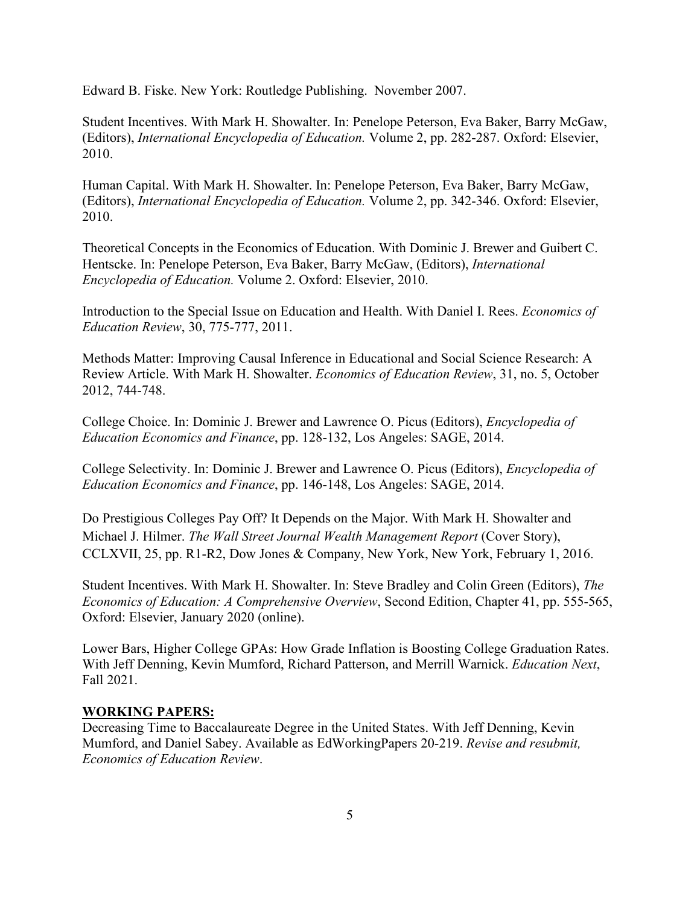Edward B. Fiske. New York: Routledge Publishing. November 2007.

Student Incentives. With Mark H. Showalter. In: Penelope Peterson, Eva Baker, Barry McGaw, (Editors), *International Encyclopedia of Education.* Volume 2, pp. 282-287. Oxford: Elsevier, 2010.

Human Capital. With Mark H. Showalter. In: Penelope Peterson, Eva Baker, Barry McGaw, (Editors), *International Encyclopedia of Education.* Volume 2, pp. 342-346. Oxford: Elsevier, 2010.

Theoretical Concepts in the Economics of Education. With Dominic J. Brewer and Guibert C. Hentscke. In: Penelope Peterson, Eva Baker, Barry McGaw, (Editors), *International Encyclopedia of Education.* Volume 2. Oxford: Elsevier, 2010.

Introduction to the Special Issue on Education and Health. With Daniel I. Rees. *Economics of Education Review*, 30, 775-777, 2011.

Methods Matter: Improving Causal Inference in Educational and Social Science Research: A Review Article. With Mark H. Showalter. *Economics of Education Review*, 31, no. 5, October 2012, 744-748.

College Choice. In: Dominic J. Brewer and Lawrence O. Picus (Editors), *Encyclopedia of Education Economics and Finance*, pp. 128-132, Los Angeles: SAGE, 2014.

College Selectivity. In: Dominic J. Brewer and Lawrence O. Picus (Editors), *Encyclopedia of Education Economics and Finance*, pp. 146-148, Los Angeles: SAGE, 2014.

Do Prestigious Colleges Pay Off? It Depends on the Major. With Mark H. Showalter and Michael J. Hilmer. *The Wall Street Journal Wealth Management Report* (Cover Story), CCLXVII, 25, pp. R1-R2, Dow Jones & Company, New York, New York, February 1, 2016.

Student Incentives. With Mark H. Showalter. In: Steve Bradley and Colin Green (Editors), *The Economics of Education: A Comprehensive Overview*, Second Edition, Chapter 41, pp. 555-565, Oxford: Elsevier, January 2020 (online).

Lower Bars, Higher College GPAs: How Grade Inflation is Boosting College Graduation Rates. With Jeff Denning, Kevin Mumford, Richard Patterson, and Merrill Warnick. *Education Next*, Fall 2021.

# **WORKING PAPERS:**

Decreasing Time to Baccalaureate Degree in the United States. With Jeff Denning, Kevin Mumford, and Daniel Sabey. Available as EdWorkingPapers 20-219. *Revise and resubmit, Economics of Education Review*.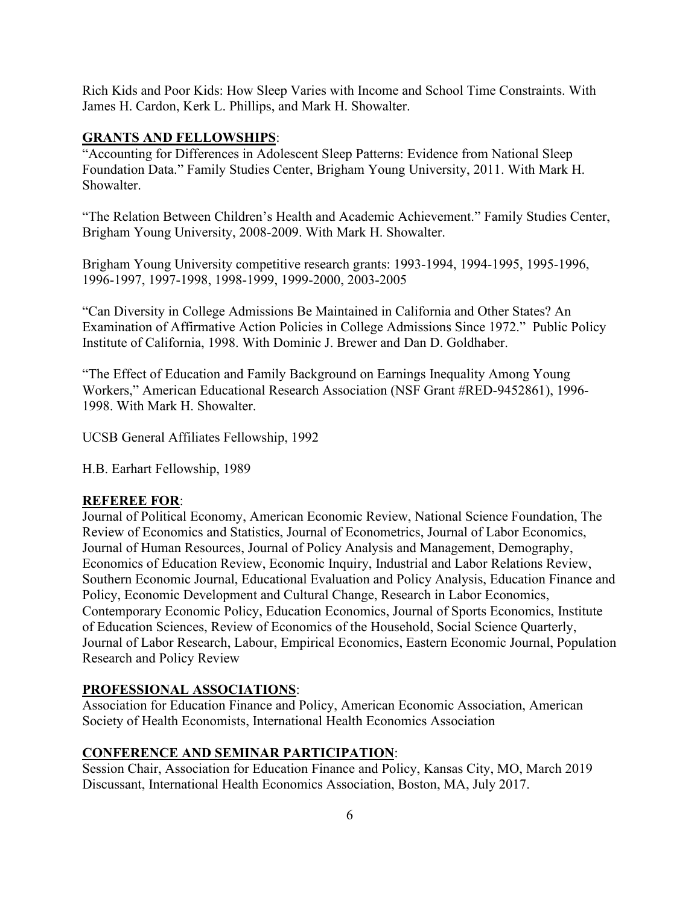Rich Kids and Poor Kids: How Sleep Varies with Income and School Time Constraints. With James H. Cardon, Kerk L. Phillips, and Mark H. Showalter.

# **GRANTS AND FELLOWSHIPS**:

"Accounting for Differences in Adolescent Sleep Patterns: Evidence from National Sleep Foundation Data." Family Studies Center, Brigham Young University, 2011. With Mark H. Showalter.

"The Relation Between Children's Health and Academic Achievement." Family Studies Center, Brigham Young University, 2008-2009. With Mark H. Showalter.

Brigham Young University competitive research grants: 1993-1994, 1994-1995, 1995-1996, 1996-1997, 1997-1998, 1998-1999, 1999-2000, 2003-2005

"Can Diversity in College Admissions Be Maintained in California and Other States? An Examination of Affirmative Action Policies in College Admissions Since 1972." Public Policy Institute of California, 1998. With Dominic J. Brewer and Dan D. Goldhaber.

"The Effect of Education and Family Background on Earnings Inequality Among Young Workers," American Educational Research Association (NSF Grant #RED-9452861), 1996- 1998. With Mark H. Showalter.

UCSB General Affiliates Fellowship, 1992

H.B. Earhart Fellowship, 1989

# **REFEREE FOR**:

Journal of Political Economy, American Economic Review, National Science Foundation, The Review of Economics and Statistics, Journal of Econometrics, Journal of Labor Economics, Journal of Human Resources, Journal of Policy Analysis and Management, Demography, Economics of Education Review, Economic Inquiry, Industrial and Labor Relations Review, Southern Economic Journal, Educational Evaluation and Policy Analysis, Education Finance and Policy, Economic Development and Cultural Change, Research in Labor Economics, Contemporary Economic Policy, Education Economics, Journal of Sports Economics, Institute of Education Sciences, Review of Economics of the Household, Social Science Quarterly, Journal of Labor Research, Labour, Empirical Economics, Eastern Economic Journal, Population Research and Policy Review

# **PROFESSIONAL ASSOCIATIONS**:

Association for Education Finance and Policy, American Economic Association, American Society of Health Economists, International Health Economics Association

# **CONFERENCE AND SEMINAR PARTICIPATION**:

Session Chair, Association for Education Finance and Policy, Kansas City, MO, March 2019 Discussant, International Health Economics Association, Boston, MA, July 2017.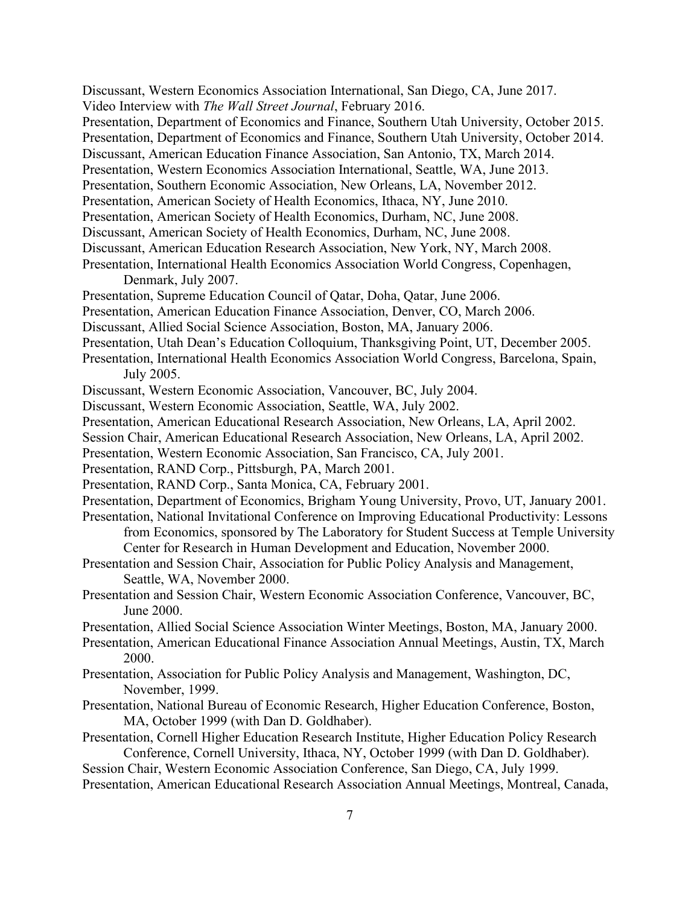7 Discussant, Western Economics Association International, San Diego, CA, June 2017. Video Interview with *The Wall Street Journal*, February 2016. Presentation, Department of Economics and Finance, Southern Utah University, October 2015. Presentation, Department of Economics and Finance, Southern Utah University, October 2014. Discussant, American Education Finance Association, San Antonio, TX, March 2014. Presentation, Western Economics Association International, Seattle, WA, June 2013. Presentation, Southern Economic Association, New Orleans, LA, November 2012. Presentation, American Society of Health Economics, Ithaca, NY, June 2010. Presentation, American Society of Health Economics, Durham, NC, June 2008. Discussant, American Society of Health Economics, Durham, NC, June 2008. Discussant, American Education Research Association, New York, NY, March 2008. Presentation, International Health Economics Association World Congress, Copenhagen, Denmark, July 2007. Presentation, Supreme Education Council of Qatar, Doha, Qatar, June 2006. Presentation, American Education Finance Association, Denver, CO, March 2006. Discussant, Allied Social Science Association, Boston, MA, January 2006. Presentation, Utah Dean's Education Colloquium, Thanksgiving Point, UT, December 2005. Presentation, International Health Economics Association World Congress, Barcelona, Spain, July 2005. Discussant, Western Economic Association, Vancouver, BC, July 2004. Discussant, Western Economic Association, Seattle, WA, July 2002. Presentation, American Educational Research Association, New Orleans, LA, April 2002. Session Chair, American Educational Research Association, New Orleans, LA, April 2002. Presentation, Western Economic Association, San Francisco, CA, July 2001. Presentation, RAND Corp., Pittsburgh, PA, March 2001. Presentation, RAND Corp., Santa Monica, CA, February 2001. Presentation, Department of Economics, Brigham Young University, Provo, UT, January 2001. Presentation, National Invitational Conference on Improving Educational Productivity: Lessons from Economics, sponsored by The Laboratory for Student Success at Temple University Center for Research in Human Development and Education, November 2000. Presentation and Session Chair, Association for Public Policy Analysis and Management, Seattle, WA, November 2000. Presentation and Session Chair, Western Economic Association Conference, Vancouver, BC, June 2000. Presentation, Allied Social Science Association Winter Meetings, Boston, MA, January 2000. Presentation, American Educational Finance Association Annual Meetings, Austin, TX, March 2000. Presentation, Association for Public Policy Analysis and Management, Washington, DC, November, 1999. Presentation, National Bureau of Economic Research, Higher Education Conference, Boston, MA, October 1999 (with Dan D. Goldhaber). Presentation, Cornell Higher Education Research Institute, Higher Education Policy Research Conference, Cornell University, Ithaca, NY, October 1999 (with Dan D. Goldhaber). Session Chair, Western Economic Association Conference, San Diego, CA, July 1999. Presentation, American Educational Research Association Annual Meetings, Montreal, Canada,